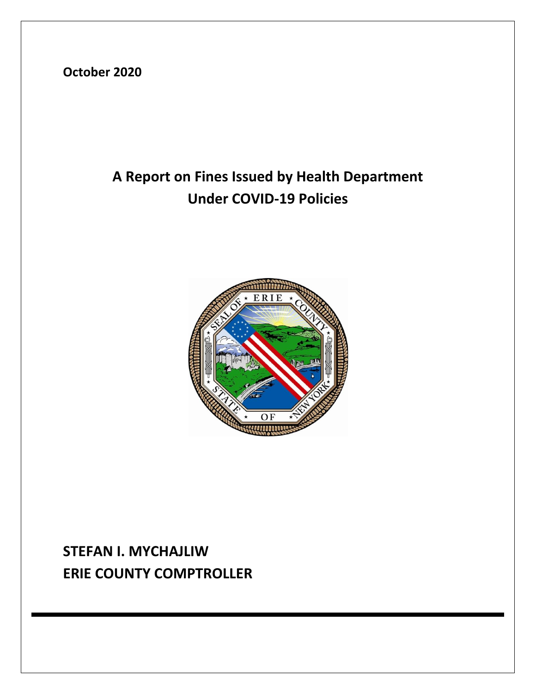**October 2020**

# **A Report on Fines Issued by Health Department Under COVID-19 Policies**



## **STEFAN I. MYCHAJLIW ERIE COUNTY COMPTROLLER**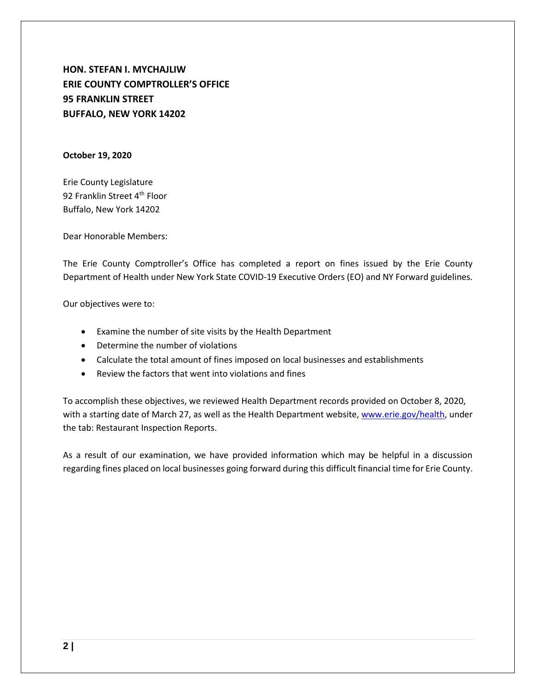**HON. STEFAN I. MYCHAJLIW ERIE COUNTY COMPTROLLER'S OFFICE 95 FRANKLIN STREET BUFFALO, NEW YORK 14202**

#### **October 19, 2020**

Erie County Legislature 92 Franklin Street 4<sup>th</sup> Floor Buffalo, New York 14202

Dear Honorable Members:

The Erie County Comptroller's Office has completed a report on fines issued by the Erie County Department of Health under New York State COVID-19 Executive Orders (EO) and NY Forward guidelines.

Our objectives were to:

- Examine the number of site visits by the Health Department
- Determine the number of violations
- Calculate the total amount of fines imposed on local businesses and establishments
- Review the factors that went into violations and fines

To accomplish these objectives, we reviewed Health Department records provided on October 8, 2020, with a starting date of March 27, as well as the Health Department website, [www.erie.gov/health,](about:blank) under the tab: Restaurant Inspection Reports.

As a result of our examination, we have provided information which may be helpful in a discussion regarding fines placed on local businesses going forward during this difficult financial time for Erie County.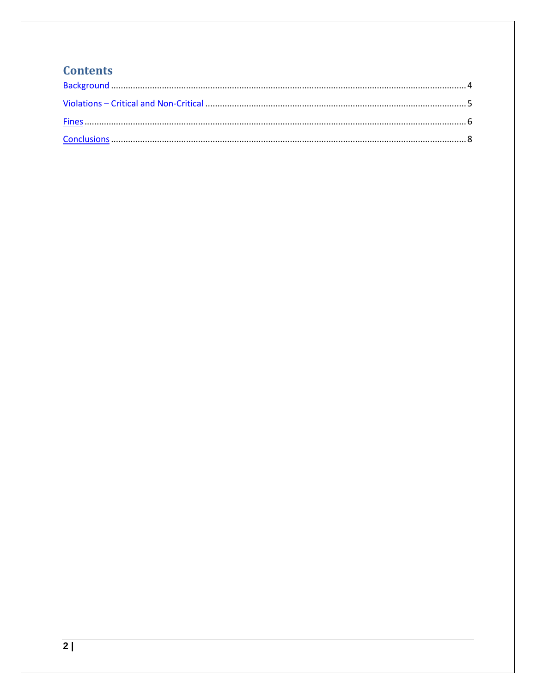### **Contents**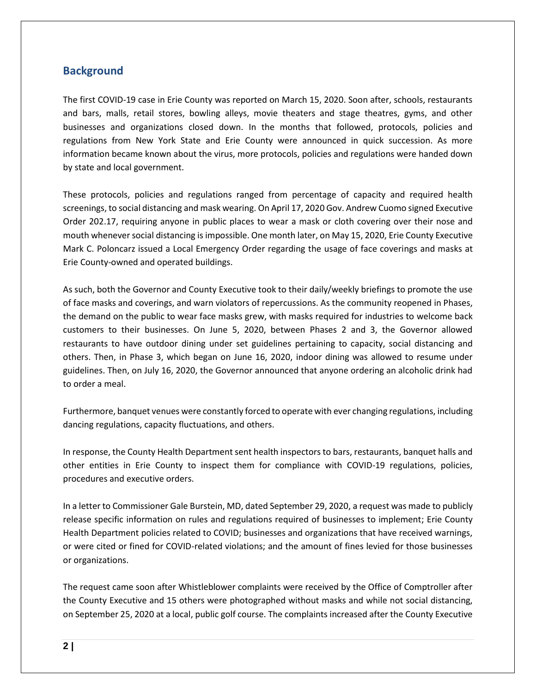#### <span id="page-3-0"></span>**Background**

The first COVID-19 case in Erie County was reported on March 15, 2020. Soon after, schools, restaurants and bars, malls, retail stores, bowling alleys, movie theaters and stage theatres, gyms, and other businesses and organizations closed down. In the months that followed, protocols, policies and regulations from New York State and Erie County were announced in quick succession. As more information became known about the virus, more protocols, policies and regulations were handed down by state and local government.

These protocols, policies and regulations ranged from percentage of capacity and required health screenings, to social distancing and mask wearing. On April 17, 2020 Gov. Andrew Cuomo signed Executive Order 202.17, requiring anyone in public places to wear a mask or cloth covering over their nose and mouth whenever social distancing is impossible. One month later, on May 15, 2020, Erie County Executive Mark C. Poloncarz issued a Local Emergency Order regarding the usage of face coverings and masks at Erie County-owned and operated buildings.

As such, both the Governor and County Executive took to their daily/weekly briefings to promote the use of face masks and coverings, and warn violators of repercussions. As the community reopened in Phases, the demand on the public to wear face masks grew, with masks required for industries to welcome back customers to their businesses. On June 5, 2020, between Phases 2 and 3, the Governor allowed restaurants to have outdoor dining under set guidelines pertaining to capacity, social distancing and others. Then, in Phase 3, which began on June 16, 2020, indoor dining was allowed to resume under guidelines. Then, on July 16, 2020, the Governor announced that anyone ordering an alcoholic drink had to order a meal.

Furthermore, banquet venues were constantly forced to operate with ever changing regulations, including dancing regulations, capacity fluctuations, and others.

In response, the County Health Department sent health inspectors to bars, restaurants, banquet halls and other entities in Erie County to inspect them for compliance with COVID-19 regulations, policies, procedures and executive orders.

In a letter to Commissioner Gale Burstein, MD, dated September 29, 2020, a request was made to publicly release specific information on rules and regulations required of businesses to implement; Erie County Health Department policies related to COVID; businesses and organizations that have received warnings, or were cited or fined for COVID-related violations; and the amount of fines levied for those businesses or organizations.

The request came soon after Whistleblower complaints were received by the Office of Comptroller after the County Executive and 15 others were photographed without masks and while not social distancing, on September 25, 2020 at a local, public golf course. The complaints increased after the County Executive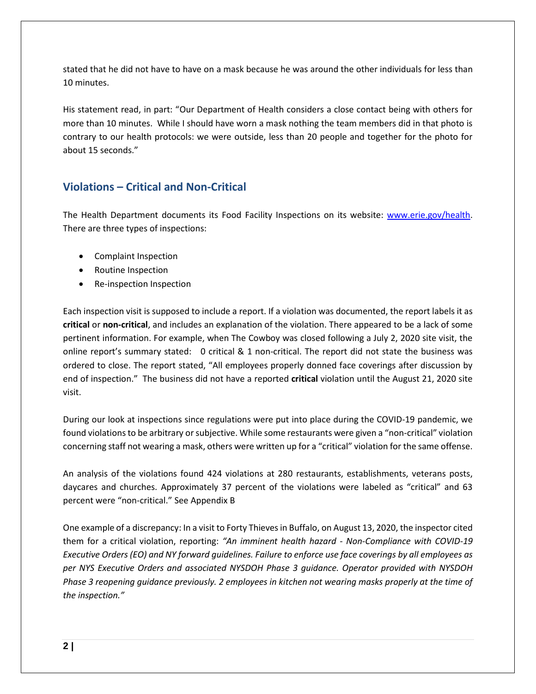stated that he did not have to have on a mask because he was around the other individuals for less than 10 minutes.

His statement read, in part: "Our Department of Health considers a close contact being with others for more than 10 minutes. While I should have worn a mask nothing the team members did in that photo is contrary to our health protocols: we were outside, less than 20 people and together for the photo for about 15 seconds."

### <span id="page-4-0"></span>**Violations – Critical and Non-Critical**

The Health Department documents its Food Facility Inspections on its website: [www.erie.gov/health.](about:blank) There are three types of inspections:

- Complaint Inspection
- Routine Inspection
- Re-inspection Inspection

Each inspection visit is supposed to include a report. If a violation was documented, the report labels it as **critical** or **non-critical**, and includes an explanation of the violation. There appeared to be a lack of some pertinent information. For example, when The Cowboy was closed following a July 2, 2020 site visit, the online report's summary stated: 0 critical & 1 non-critical. The report did not state the business was ordered to close. The report stated, "All employees properly donned face coverings after discussion by end of inspection." The business did not have a reported **critical** violation until the August 21, 2020 site visit.

During our look at inspections since regulations were put into place during the COVID-19 pandemic, we found violations to be arbitrary or subjective. While some restaurants were given a "non-critical" violation concerning staff not wearing a mask, others were written up for a "critical" violation for the same offense.

An analysis of the violations found 424 violations at 280 restaurants, establishments, veterans posts, daycares and churches. Approximately 37 percent of the violations were labeled as "critical" and 63 percent were "non-critical." See Appendix B

One example of a discrepancy: In a visit to Forty Thieves in Buffalo, on August 13, 2020, the inspector cited them for a critical violation, reporting: *"An imminent health hazard - Non-Compliance with COVID-19 Executive Orders (EO) and NY forward guidelines. Failure to enforce use face coverings by all employees as per NYS Executive Orders and associated NYSDOH Phase 3 guidance. Operator provided with NYSDOH Phase 3 reopening guidance previously. 2 employees in kitchen not wearing masks properly at the time of the inspection."*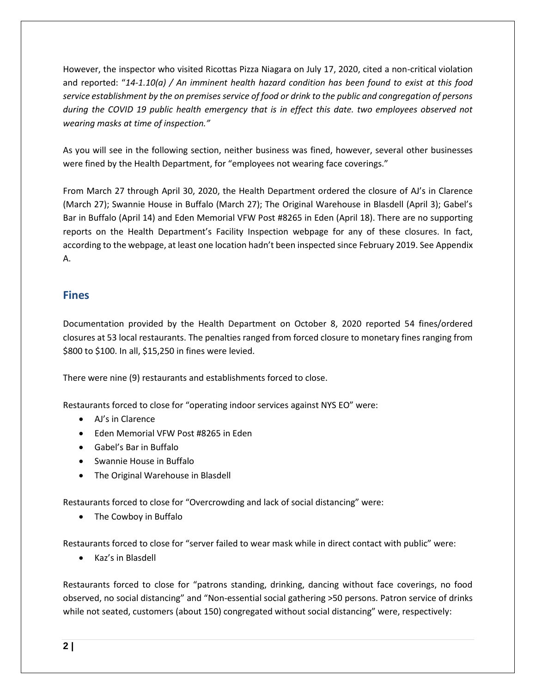However, the inspector who visited Ricottas Pizza Niagara on July 17, 2020, cited a non-critical violation and reported: "*14-1.10(a) / An imminent health hazard condition has been found to exist at this food service establishment by the on premises service of food or drink to the public and congregation of persons during the COVID 19 public health emergency that is in effect this date. two employees observed not wearing masks at time of inspection."*

As you will see in the following section, neither business was fined, however, several other businesses were fined by the Health Department, for "employees not wearing face coverings."

From March 27 through April 30, 2020, the Health Department ordered the closure of AJ's in Clarence (March 27); Swannie House in Buffalo (March 27); The Original Warehouse in Blasdell (April 3); Gabel's Bar in Buffalo (April 14) and Eden Memorial VFW Post #8265 in Eden (April 18). There are no supporting reports on the Health Department's Facility Inspection webpage for any of these closures. In fact, according to the webpage, at least one location hadn't been inspected since February 2019. See Appendix A.

#### <span id="page-5-0"></span>**Fines**

Documentation provided by the Health Department on October 8, 2020 reported 54 fines/ordered closures at 53 local restaurants. The penalties ranged from forced closure to monetary fines ranging from \$800 to \$100. In all, \$15,250 in fines were levied.

There were nine (9) restaurants and establishments forced to close.

Restaurants forced to close for "operating indoor services against NYS EO" were:

- AJ's in Clarence
- Eden Memorial VFW Post #8265 in Eden
- Gabel's Bar in Buffalo
- Swannie House in Buffalo
- The Original Warehouse in Blasdell

Restaurants forced to close for "Overcrowding and lack of social distancing" were:

• The Cowboy in Buffalo

Restaurants forced to close for "server failed to wear mask while in direct contact with public" were:

• Kaz's in Blasdell

Restaurants forced to close for "patrons standing, drinking, dancing without face coverings, no food observed, no social distancing" and "Non-essential social gathering >50 persons. Patron service of drinks while not seated, customers (about 150) congregated without social distancing" were, respectively: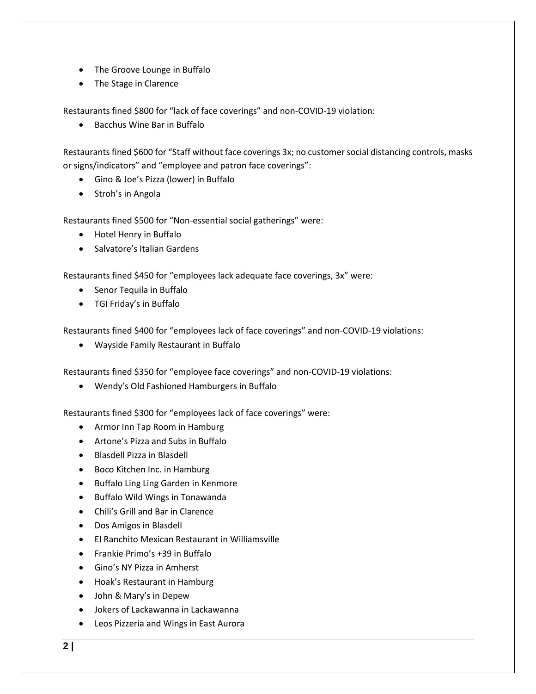- The Groove Lounge in Buffalo
- The Stage in Clarence

Restaurants fined \$800 for "lack of face coverings" and non-COVID-19 violation:

• Bacchus Wine Bar in Buffalo

Restaurants fined \$600 for "Staff without face coverings 3x; no customer social distancing controls, masks or signs/indicators" and "employee and patron face coverings":

- Gino & Joe's Pizza (lower) in Buffalo
- Stroh's in Angola

Restaurants fined \$500 for "Non-essential social gatherings" were:

- Hotel Henry in Buffalo
- Salvatore's Italian Gardens

Restaurants fined \$450 for "employees lack adequate face coverings, 3x" were:

- Senor Tequila in Buffalo
- TGI Friday's in Buffalo

Restaurants fined \$400 for "employees lack of face coverings" and non-COVID-19 violations:

• Wayside Family Restaurant in Buffalo

Restaurants fined \$350 for "employee face coverings" and non-COVID-19 violations:

• Wendy's Old Fashioned Hamburgers in Buffalo

Restaurants fined \$300 for "employees lack of face coverings" were:

- Armor Inn Tap Room in Hamburg
- Artone's Pizza and Subs in Buffalo
- Blasdell Pizza in Blasdell
- Boco Kitchen Inc. in Hamburg
- Buffalo Ling Ling Garden in Kenmore
- Buffalo Wild Wings in Tonawanda
- Chili's Grill and Bar in Clarence
- Dos Amigos in Blasdell
- El Ranchito Mexican Restaurant in Williamsville
- Frankie Primo's +39 in Buffalo
- Gino's NY Pizza in Amherst
- Hoak's Restaurant in Hamburg
- John & Mary's in Depew
- Jokers of Lackawanna in Lackawanna
- Leos Pizzeria and Wings in East Aurora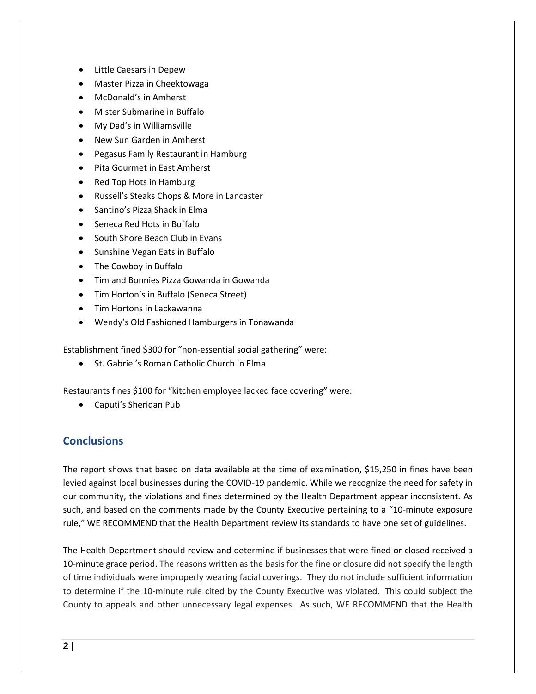- Little Caesars in Depew
- Master Pizza in Cheektowaga
- McDonald's in Amherst
- Mister Submarine in Buffalo
- My Dad's in Williamsville
- New Sun Garden in Amherst
- Pegasus Family Restaurant in Hamburg
- Pita Gourmet in East Amherst
- Red Top Hots in Hamburg
- Russell's Steaks Chops & More in Lancaster
- Santino's Pizza Shack in Elma
- Seneca Red Hots in Buffalo
- South Shore Beach Club in Evans
- Sunshine Vegan Eats in Buffalo
- The Cowboy in Buffalo
- Tim and Bonnies Pizza Gowanda in Gowanda
- Tim Horton's in Buffalo (Seneca Street)
- Tim Hortons in Lackawanna
- Wendy's Old Fashioned Hamburgers in Tonawanda

Establishment fined \$300 for "non-essential social gathering" were:

• St. Gabriel's Roman Catholic Church in Elma

Restaurants fines \$100 for "kitchen employee lacked face covering" were:

<span id="page-7-0"></span>• Caputi's Sheridan Pub

### **Conclusions**

The report shows that based on data available at the time of examination, \$15,250 in fines have been levied against local businesses during the COVID-19 pandemic. While we recognize the need for safety in our community, the violations and fines determined by the Health Department appear inconsistent. As such, and based on the comments made by the County Executive pertaining to a "10-minute exposure rule," WE RECOMMEND that the Health Department review its standards to have one set of guidelines.

The Health Department should review and determine if businesses that were fined or closed received a 10-minute grace period. The reasons written as the basis for the fine or closure did not specify the length of time individuals were improperly wearing facial coverings. They do not include sufficient information to determine if the 10-minute rule cited by the County Executive was violated. This could subject the County to appeals and other unnecessary legal expenses. As such, WE RECOMMEND that the Health